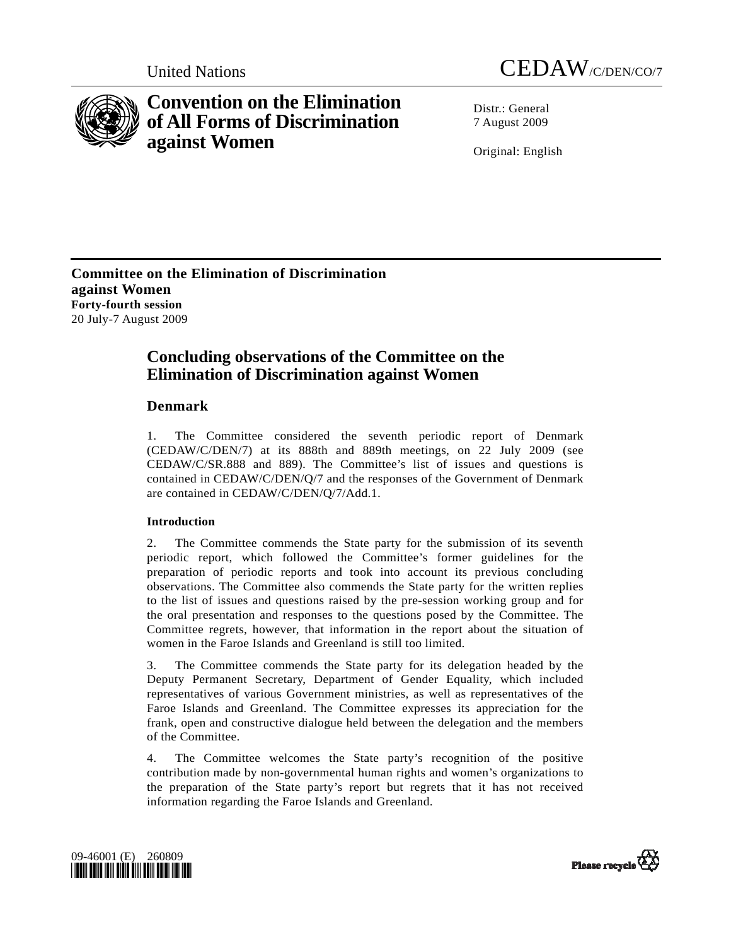



# **Convention on the Elimination of All Forms of Discrimination against Women**

Distr · General 7 August 2009

Original: English

**Committee on the Elimination of Discrimination against Women Forty-fourth session**  20 July-7 August 2009

# **Concluding observations of the Committee on the Elimination of Discrimination against Women**

## **Denmark**

1. The Committee considered the seventh periodic report of Denmark (CEDAW/C/DEN/7) at its 888th and 889th meetings, on 22 July 2009 (see CEDAW/C/SR.888 and 889). The Committee's list of issues and questions is contained in CEDAW/C/DEN/Q/7 and the responses of the Government of Denmark are contained in CEDAW/C/DEN/Q/7/Add.1.

## **Introduction**

2. The Committee commends the State party for the submission of its seventh periodic report, which followed the Committee's former guidelines for the preparation of periodic reports and took into account its previous concluding observations. The Committee also commends the State party for the written replies to the list of issues and questions raised by the pre-session working group and for the oral presentation and responses to the questions posed by the Committee. The Committee regrets, however, that information in the report about the situation of women in the Faroe Islands and Greenland is still too limited.

3. The Committee commends the State party for its delegation headed by the Deputy Permanent Secretary, Department of Gender Equality, which included representatives of various Government ministries, as well as representatives of the Faroe Islands and Greenland. The Committee expresses its appreciation for the frank, open and constructive dialogue held between the delegation and the members of the Committee.

4. The Committee welcomes the State party's recognition of the positive contribution made by non-governmental human rights and women's organizations to the preparation of the State party's report but regrets that it has not received information regarding the Faroe Islands and Greenland.



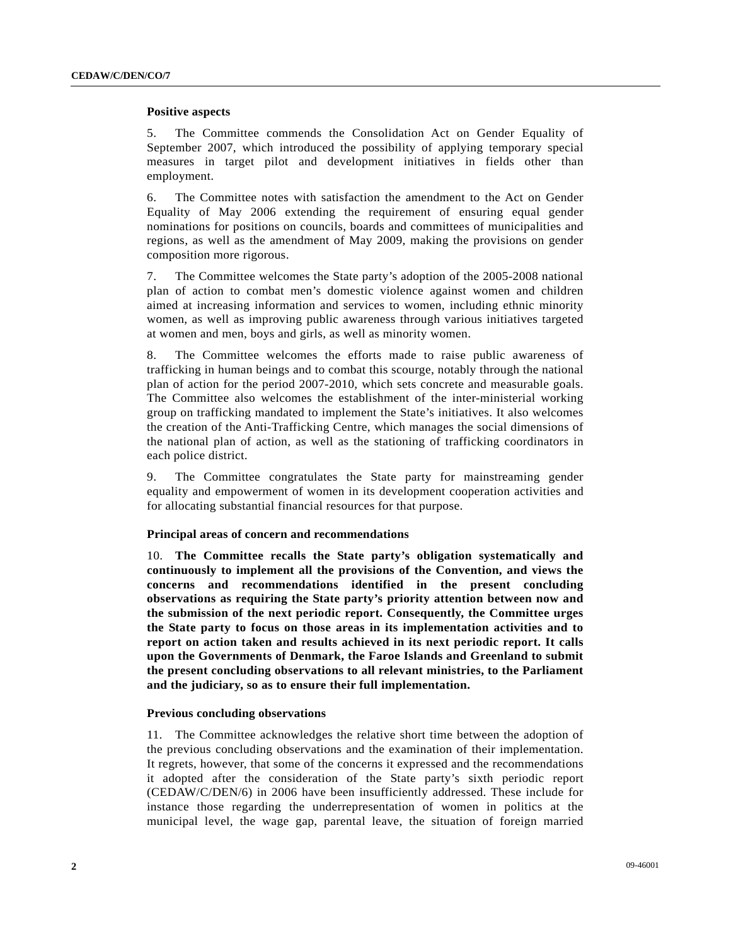## **Positive aspects**

5. The Committee commends the Consolidation Act on Gender Equality of September 2007, which introduced the possibility of applying temporary special measures in target pilot and development initiatives in fields other than employment.

6. The Committee notes with satisfaction the amendment to the Act on Gender Equality of May 2006 extending the requirement of ensuring equal gender nominations for positions on councils, boards and committees of municipalities and regions, as well as the amendment of May 2009, making the provisions on gender composition more rigorous.

7. The Committee welcomes the State party's adoption of the 2005-2008 national plan of action to combat men's domestic violence against women and children aimed at increasing information and services to women, including ethnic minority women, as well as improving public awareness through various initiatives targeted at women and men, boys and girls, as well as minority women.

8. The Committee welcomes the efforts made to raise public awareness of trafficking in human beings and to combat this scourge, notably through the national plan of action for the period 2007-2010, which sets concrete and measurable goals. The Committee also welcomes the establishment of the inter-ministerial working group on trafficking mandated to implement the State's initiatives. It also welcomes the creation of the Anti-Trafficking Centre, which manages the social dimensions of the national plan of action, as well as the stationing of trafficking coordinators in each police district.

9. The Committee congratulates the State party for mainstreaming gender equality and empowerment of women in its development cooperation activities and for allocating substantial financial resources for that purpose.

## **Principal areas of concern and recommendations**

10. **The Committee recalls the State party's obligation systematically and continuously to implement all the provisions of the Convention, and views the concerns and recommendations identified in the present concluding observations as requiring the State party's priority attention between now and the submission of the next periodic report. Consequently, the Committee urges the State party to focus on those areas in its implementation activities and to report on action taken and results achieved in its next periodic report. It calls upon the Governments of Denmark, the Faroe Islands and Greenland to submit the present concluding observations to all relevant ministries, to the Parliament and the judiciary, so as to ensure their full implementation.** 

## **Previous concluding observations**

11. The Committee acknowledges the relative short time between the adoption of the previous concluding observations and the examination of their implementation. It regrets, however, that some of the concerns it expressed and the recommendations it adopted after the consideration of the State party's sixth periodic report (CEDAW/C/DEN/6) in 2006 have been insufficiently addressed. These include for instance those regarding the underrepresentation of women in politics at the municipal level, the wage gap, parental leave, the situation of foreign married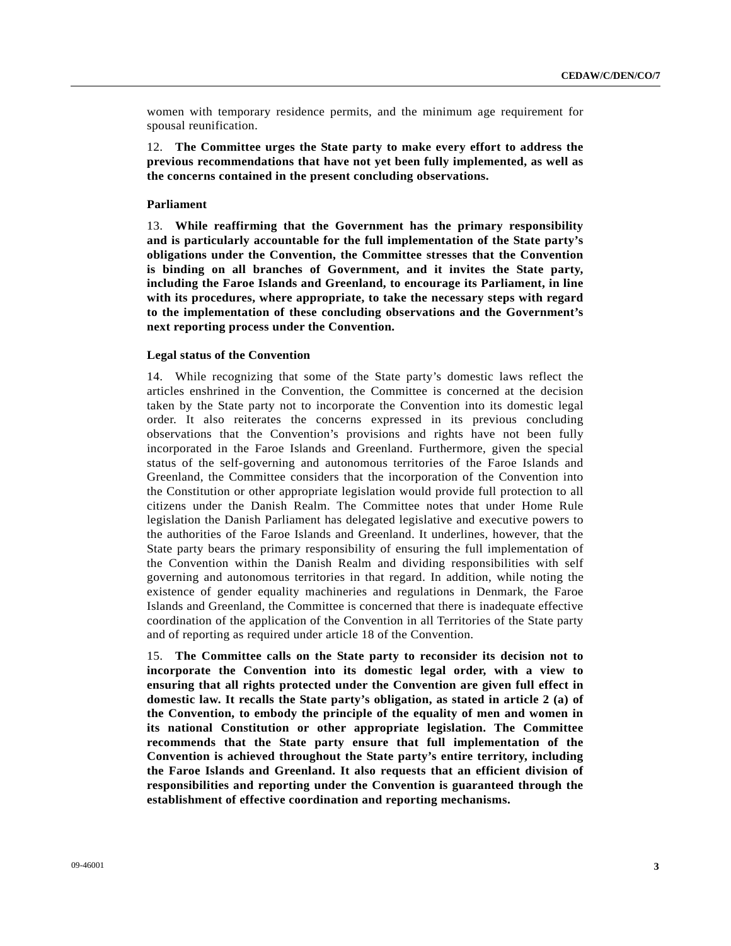women with temporary residence permits, and the minimum age requirement for spousal reunification.

12. **The Committee urges the State party to make every effort to address the previous recommendations that have not yet been fully implemented, as well as the concerns contained in the present concluding observations.** 

## **Parliament**

13. **While reaffirming that the Government has the primary responsibility and is particularly accountable for the full implementation of the State party's obligations under the Convention, the Committee stresses that the Convention is binding on all branches of Government, and it invites the State party, including the Faroe Islands and Greenland, to encourage its Parliament, in line with its procedures, where appropriate, to take the necessary steps with regard to the implementation of these concluding observations and the Government's next reporting process under the Convention.** 

#### **Legal status of the Convention**

14. While recognizing that some of the State party's domestic laws reflect the articles enshrined in the Convention, the Committee is concerned at the decision taken by the State party not to incorporate the Convention into its domestic legal order. It also reiterates the concerns expressed in its previous concluding observations that the Convention's provisions and rights have not been fully incorporated in the Faroe Islands and Greenland. Furthermore, given the special status of the self-governing and autonomous territories of the Faroe Islands and Greenland, the Committee considers that the incorporation of the Convention into the Constitution or other appropriate legislation would provide full protection to all citizens under the Danish Realm. The Committee notes that under Home Rule legislation the Danish Parliament has delegated legislative and executive powers to the authorities of the Faroe Islands and Greenland. It underlines, however, that the State party bears the primary responsibility of ensuring the full implementation of the Convention within the Danish Realm and dividing responsibilities with self governing and autonomous territories in that regard. In addition, while noting the existence of gender equality machineries and regulations in Denmark, the Faroe Islands and Greenland, the Committee is concerned that there is inadequate effective coordination of the application of the Convention in all Territories of the State party and of reporting as required under article 18 of the Convention.

15. **The Committee calls on the State party to reconsider its decision not to incorporate the Convention into its domestic legal order, with a view to ensuring that all rights protected under the Convention are given full effect in domestic law. It recalls the State party's obligation, as stated in article 2 (a) of the Convention, to embody the principle of the equality of men and women in its national Constitution or other appropriate legislation. The Committee recommends that the State party ensure that full implementation of the Convention is achieved throughout the State party's entire territory, including the Faroe Islands and Greenland. It also requests that an efficient division of responsibilities and reporting under the Convention is guaranteed through the establishment of effective coordination and reporting mechanisms.**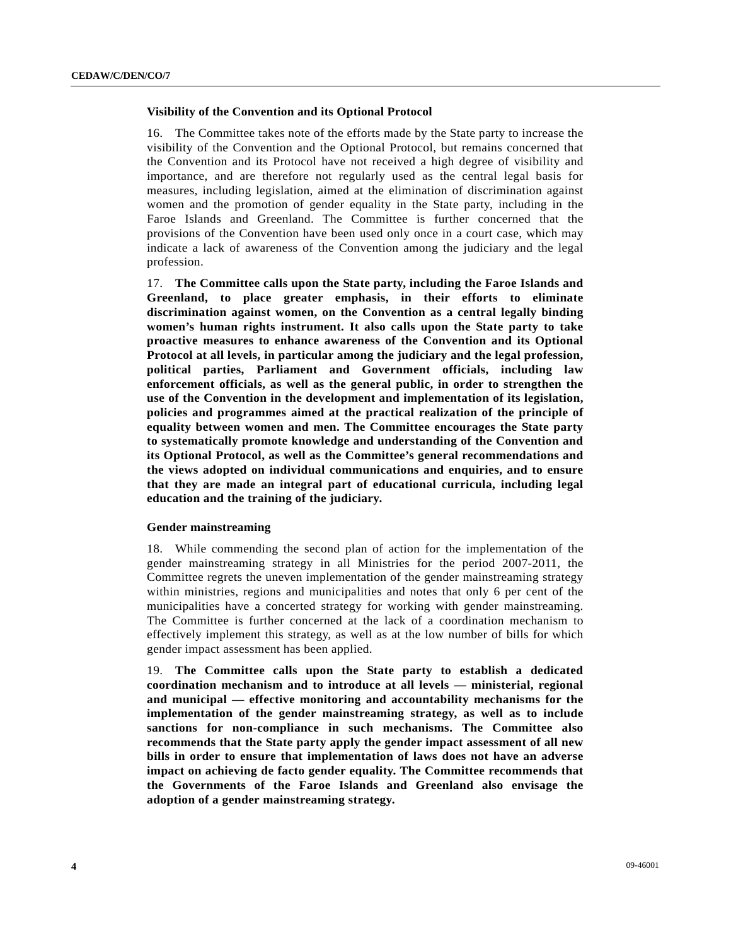## **Visibility of the Convention and its Optional Protocol**

16. The Committee takes note of the efforts made by the State party to increase the visibility of the Convention and the Optional Protocol, but remains concerned that the Convention and its Protocol have not received a high degree of visibility and importance, and are therefore not regularly used as the central legal basis for measures, including legislation, aimed at the elimination of discrimination against women and the promotion of gender equality in the State party, including in the Faroe Islands and Greenland. The Committee is further concerned that the provisions of the Convention have been used only once in a court case, which may indicate a lack of awareness of the Convention among the judiciary and the legal profession.

17. **The Committee calls upon the State party, including the Faroe Islands and Greenland, to place greater emphasis, in their efforts to eliminate discrimination against women, on the Convention as a central legally binding women's human rights instrument. It also calls upon the State party to take proactive measures to enhance awareness of the Convention and its Optional Protocol at all levels, in particular among the judiciary and the legal profession, political parties, Parliament and Government officials, including law enforcement officials, as well as the general public, in order to strengthen the use of the Convention in the development and implementation of its legislation, policies and programmes aimed at the practical realization of the principle of equality between women and men. The Committee encourages the State party to systematically promote knowledge and understanding of the Convention and its Optional Protocol, as well as the Committee's general recommendations and the views adopted on individual communications and enquiries, and to ensure that they are made an integral part of educational curricula, including legal education and the training of the judiciary.** 

#### **Gender mainstreaming**

18. While commending the second plan of action for the implementation of the gender mainstreaming strategy in all Ministries for the period 2007-2011, the Committee regrets the uneven implementation of the gender mainstreaming strategy within ministries, regions and municipalities and notes that only 6 per cent of the municipalities have a concerted strategy for working with gender mainstreaming. The Committee is further concerned at the lack of a coordination mechanism to effectively implement this strategy, as well as at the low number of bills for which gender impact assessment has been applied.

19. **The Committee calls upon the State party to establish a dedicated coordination mechanism and to introduce at all levels — ministerial, regional and municipal — effective monitoring and accountability mechanisms for the implementation of the gender mainstreaming strategy, as well as to include sanctions for non-compliance in such mechanisms. The Committee also recommends that the State party apply the gender impact assessment of all new bills in order to ensure that implementation of laws does not have an adverse impact on achieving de facto gender equality. The Committee recommends that the Governments of the Faroe Islands and Greenland also envisage the adoption of a gender mainstreaming strategy.**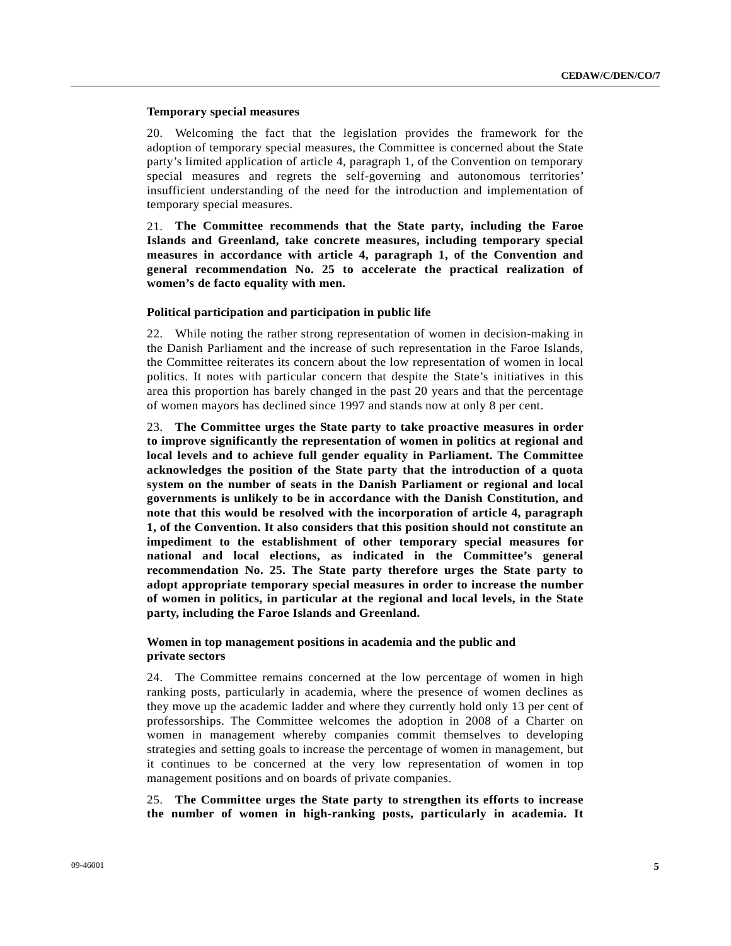## **Temporary special measures**

20. Welcoming the fact that the legislation provides the framework for the adoption of temporary special measures, the Committee is concerned about the State party's limited application of article 4, paragraph 1, of the Convention on temporary special measures and regrets the self-governing and autonomous territories' insufficient understanding of the need for the introduction and implementation of temporary special measures.

21. **The Committee recommends that the State party, including the Faroe Islands and Greenland, take concrete measures, including temporary special measures in accordance with article 4, paragraph 1, of the Convention and general recommendation No. 25 to accelerate the practical realization of women's de facto equality with men.** 

## **Political participation and participation in public life**

22. While noting the rather strong representation of women in decision-making in the Danish Parliament and the increase of such representation in the Faroe Islands, the Committee reiterates its concern about the low representation of women in local politics. It notes with particular concern that despite the State's initiatives in this area this proportion has barely changed in the past 20 years and that the percentage of women mayors has declined since 1997 and stands now at only 8 per cent.

23. **The Committee urges the State party to take proactive measures in order to improve significantly the representation of women in politics at regional and local levels and to achieve full gender equality in Parliament. The Committee acknowledges the position of the State party that the introduction of a quota system on the number of seats in the Danish Parliament or regional and local governments is unlikely to be in accordance with the Danish Constitution, and note that this would be resolved with the incorporation of article 4, paragraph 1, of the Convention. It also considers that this position should not constitute an impediment to the establishment of other temporary special measures for national and local elections, as indicated in the Committee's general recommendation No. 25. The State party therefore urges the State party to adopt appropriate temporary special measures in order to increase the number of women in politics, in particular at the regional and local levels, in the State party, including the Faroe Islands and Greenland.** 

## **Women in top management positions in academia and the public and private sectors**

24. The Committee remains concerned at the low percentage of women in high ranking posts, particularly in academia, where the presence of women declines as they move up the academic ladder and where they currently hold only 13 per cent of professorships. The Committee welcomes the adoption in 2008 of a Charter on women in management whereby companies commit themselves to developing strategies and setting goals to increase the percentage of women in management, but it continues to be concerned at the very low representation of women in top management positions and on boards of private companies.

25. **The Committee urges the State party to strengthen its efforts to increase the number of women in high-ranking posts, particularly in academia. It**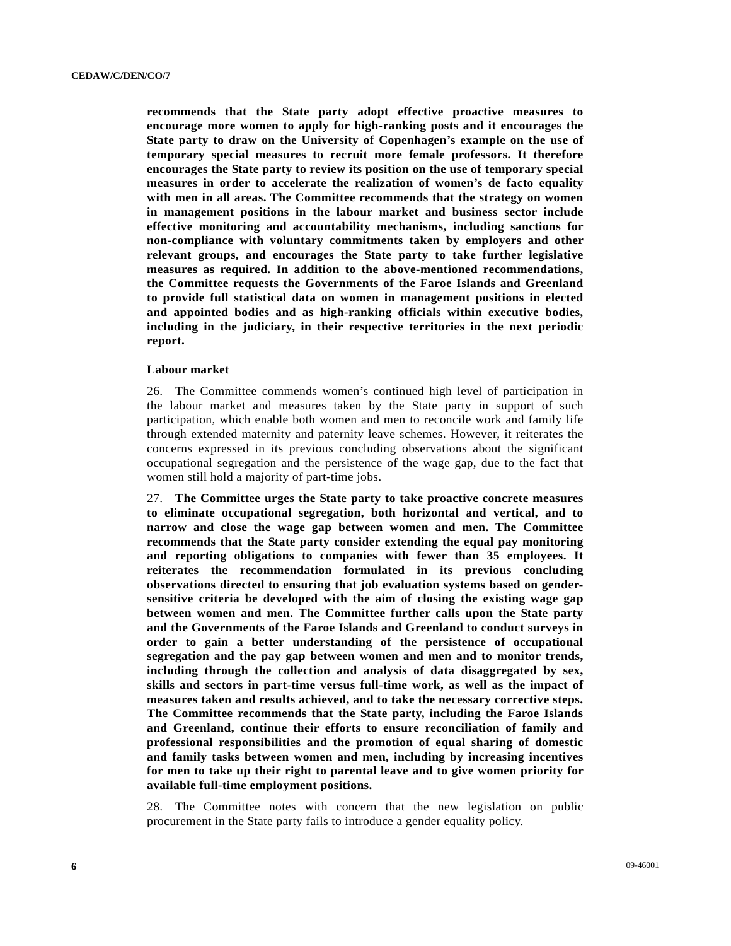**recommends that the State party adopt effective proactive measures to encourage more women to apply for high-ranking posts and it encourages the State party to draw on the University of Copenhagen's example on the use of temporary special measures to recruit more female professors. It therefore encourages the State party to review its position on the use of temporary special measures in order to accelerate the realization of women's de facto equality with men in all areas. The Committee recommends that the strategy on women in management positions in the labour market and business sector include effective monitoring and accountability mechanisms, including sanctions for non-compliance with voluntary commitments taken by employers and other relevant groups, and encourages the State party to take further legislative measures as required. In addition to the above-mentioned recommendations, the Committee requests the Governments of the Faroe Islands and Greenland to provide full statistical data on women in management positions in elected and appointed bodies and as high-ranking officials within executive bodies, including in the judiciary, in their respective territories in the next periodic report.** 

#### **Labour market**

26. The Committee commends women's continued high level of participation in the labour market and measures taken by the State party in support of such participation, which enable both women and men to reconcile work and family life through extended maternity and paternity leave schemes. However, it reiterates the concerns expressed in its previous concluding observations about the significant occupational segregation and the persistence of the wage gap, due to the fact that women still hold a majority of part-time jobs.

27. **The Committee urges the State party to take proactive concrete measures to eliminate occupational segregation, both horizontal and vertical, and to narrow and close the wage gap between women and men. The Committee recommends that the State party consider extending the equal pay monitoring and reporting obligations to companies with fewer than 35 employees. It reiterates the recommendation formulated in its previous concluding observations directed to ensuring that job evaluation systems based on gendersensitive criteria be developed with the aim of closing the existing wage gap between women and men. The Committee further calls upon the State party and the Governments of the Faroe Islands and Greenland to conduct surveys in order to gain a better understanding of the persistence of occupational segregation and the pay gap between women and men and to monitor trends, including through the collection and analysis of data disaggregated by sex, skills and sectors in part-time versus full-time work, as well as the impact of measures taken and results achieved, and to take the necessary corrective steps. The Committee recommends that the State party, including the Faroe Islands and Greenland, continue their efforts to ensure reconciliation of family and professional responsibilities and the promotion of equal sharing of domestic and family tasks between women and men, including by increasing incentives for men to take up their right to parental leave and to give women priority for available full-time employment positions.** 

28. The Committee notes with concern that the new legislation on public procurement in the State party fails to introduce a gender equality policy.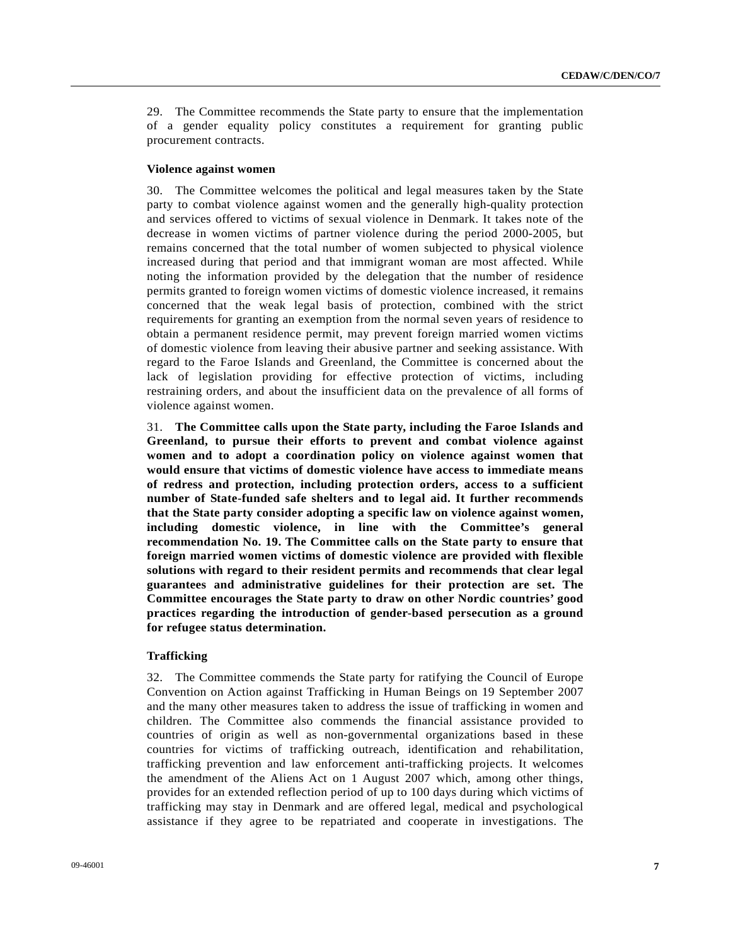29. The Committee recommends the State party to ensure that the implementation of a gender equality policy constitutes a requirement for granting public procurement contracts.

#### **Violence against women**

30. The Committee welcomes the political and legal measures taken by the State party to combat violence against women and the generally high-quality protection and services offered to victims of sexual violence in Denmark. It takes note of the decrease in women victims of partner violence during the period 2000-2005, but remains concerned that the total number of women subjected to physical violence increased during that period and that immigrant woman are most affected. While noting the information provided by the delegation that the number of residence permits granted to foreign women victims of domestic violence increased, it remains concerned that the weak legal basis of protection, combined with the strict requirements for granting an exemption from the normal seven years of residence to obtain a permanent residence permit, may prevent foreign married women victims of domestic violence from leaving their abusive partner and seeking assistance. With regard to the Faroe Islands and Greenland, the Committee is concerned about the lack of legislation providing for effective protection of victims, including restraining orders, and about the insufficient data on the prevalence of all forms of violence against women.

31. **The Committee calls upon the State party, including the Faroe Islands and Greenland, to pursue their efforts to prevent and combat violence against women and to adopt a coordination policy on violence against women that would ensure that victims of domestic violence have access to immediate means of redress and protection, including protection orders, access to a sufficient number of State-funded safe shelters and to legal aid. It further recommends that the State party consider adopting a specific law on violence against women, including domestic violence, in line with the Committee's general recommendation No. 19. The Committee calls on the State party to ensure that foreign married women victims of domestic violence are provided with flexible solutions with regard to their resident permits and recommends that clear legal guarantees and administrative guidelines for their protection are set. The Committee encourages the State party to draw on other Nordic countries' good practices regarding the introduction of gender-based persecution as a ground for refugee status determination.** 

## **Trafficking**

32. The Committee commends the State party for ratifying the Council of Europe Convention on Action against Trafficking in Human Beings on 19 September 2007 and the many other measures taken to address the issue of trafficking in women and children. The Committee also commends the financial assistance provided to countries of origin as well as non-governmental organizations based in these countries for victims of trafficking outreach, identification and rehabilitation, trafficking prevention and law enforcement anti-trafficking projects. It welcomes the amendment of the Aliens Act on 1 August 2007 which, among other things, provides for an extended reflection period of up to 100 days during which victims of trafficking may stay in Denmark and are offered legal, medical and psychological assistance if they agree to be repatriated and cooperate in investigations. The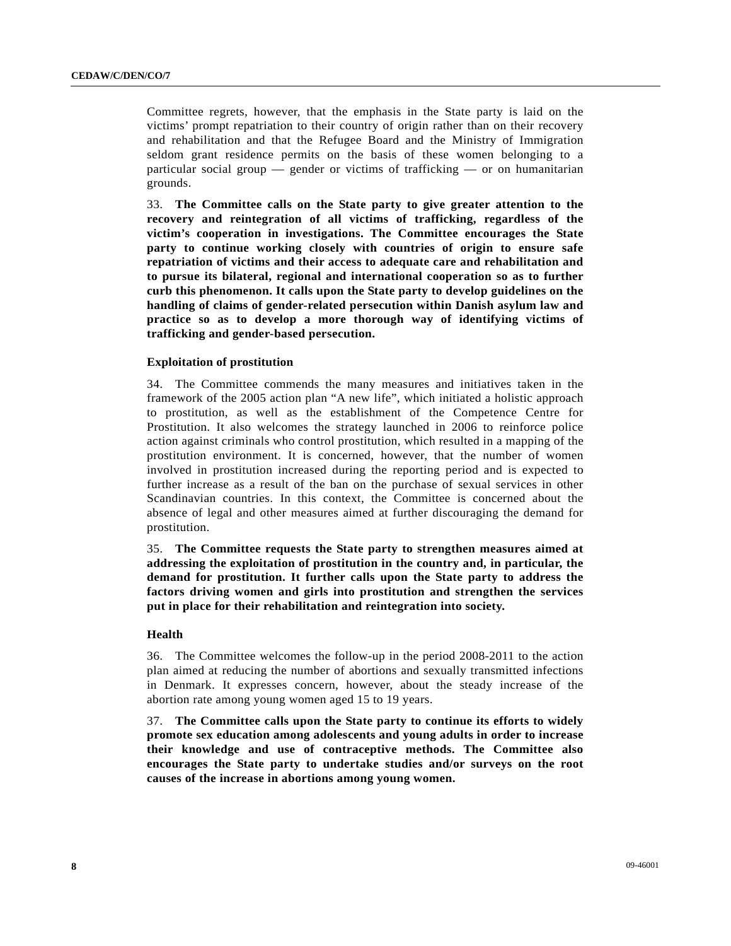Committee regrets, however, that the emphasis in the State party is laid on the victims' prompt repatriation to their country of origin rather than on their recovery and rehabilitation and that the Refugee Board and the Ministry of Immigration seldom grant residence permits on the basis of these women belonging to a particular social group — gender or victims of trafficking — or on humanitarian grounds.

33. **The Committee calls on the State party to give greater attention to the recovery and reintegration of all victims of trafficking, regardless of the victim's cooperation in investigations. The Committee encourages the State party to continue working closely with countries of origin to ensure safe repatriation of victims and their access to adequate care and rehabilitation and to pursue its bilateral, regional and international cooperation so as to further curb this phenomenon. It calls upon the State party to develop guidelines on the handling of claims of gender-related persecution within Danish asylum law and practice so as to develop a more thorough way of identifying victims of trafficking and gender-based persecution.** 

## **Exploitation of prostitution**

34. The Committee commends the many measures and initiatives taken in the framework of the 2005 action plan "A new life", which initiated a holistic approach to prostitution, as well as the establishment of the Competence Centre for Prostitution. It also welcomes the strategy launched in 2006 to reinforce police action against criminals who control prostitution, which resulted in a mapping of the prostitution environment. It is concerned, however, that the number of women involved in prostitution increased during the reporting period and is expected to further increase as a result of the ban on the purchase of sexual services in other Scandinavian countries. In this context, the Committee is concerned about the absence of legal and other measures aimed at further discouraging the demand for prostitution.

35. **The Committee requests the State party to strengthen measures aimed at addressing the exploitation of prostitution in the country and, in particular, the demand for prostitution. It further calls upon the State party to address the factors driving women and girls into prostitution and strengthen the services put in place for their rehabilitation and reintegration into society.** 

#### **Health**

36. The Committee welcomes the follow-up in the period 2008-2011 to the action plan aimed at reducing the number of abortions and sexually transmitted infections in Denmark. It expresses concern, however, about the steady increase of the abortion rate among young women aged 15 to 19 years.

37. **The Committee calls upon the State party to continue its efforts to widely promote sex education among adolescents and young adults in order to increase their knowledge and use of contraceptive methods. The Committee also encourages the State party to undertake studies and/or surveys on the root causes of the increase in abortions among young women.**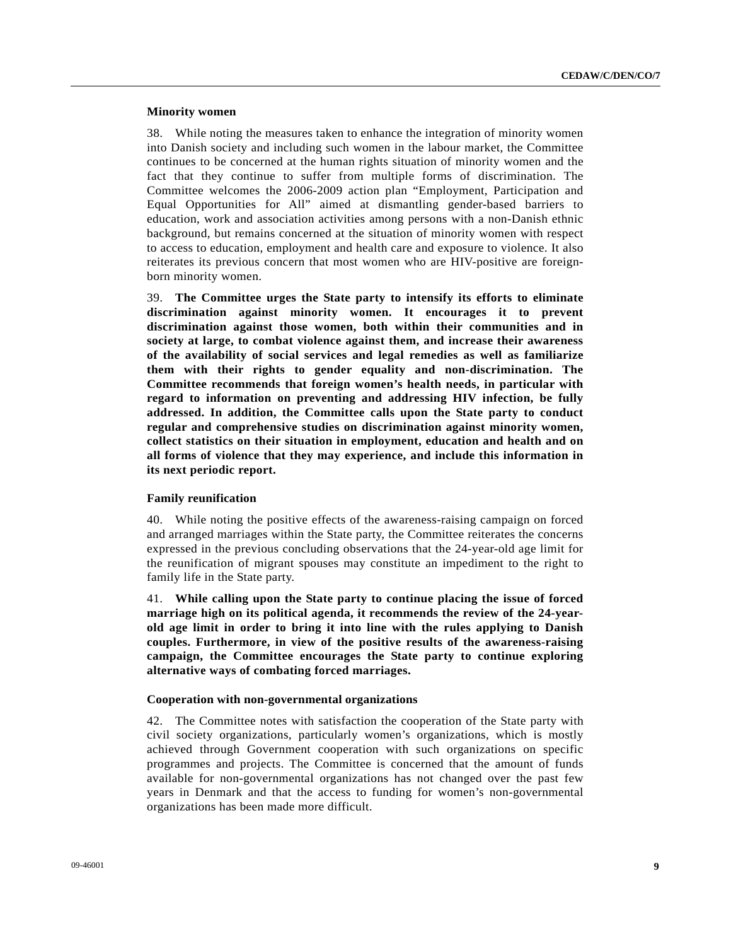#### **Minority women**

38. While noting the measures taken to enhance the integration of minority women into Danish society and including such women in the labour market, the Committee continues to be concerned at the human rights situation of minority women and the fact that they continue to suffer from multiple forms of discrimination. The Committee welcomes the 2006-2009 action plan "Employment, Participation and Equal Opportunities for All" aimed at dismantling gender-based barriers to education, work and association activities among persons with a non-Danish ethnic background, but remains concerned at the situation of minority women with respect to access to education, employment and health care and exposure to violence. It also reiterates its previous concern that most women who are HIV-positive are foreignborn minority women.

39. **The Committee urges the State party to intensify its efforts to eliminate discrimination against minority women. It encourages it to prevent discrimination against those women, both within their communities and in society at large, to combat violence against them, and increase their awareness of the availability of social services and legal remedies as well as familiarize them with their rights to gender equality and non-discrimination. The Committee recommends that foreign women's health needs, in particular with regard to information on preventing and addressing HIV infection, be fully addressed. In addition, the Committee calls upon the State party to conduct regular and comprehensive studies on discrimination against minority women, collect statistics on their situation in employment, education and health and on all forms of violence that they may experience, and include this information in its next periodic report.** 

## **Family reunification**

40. While noting the positive effects of the awareness-raising campaign on forced and arranged marriages within the State party, the Committee reiterates the concerns expressed in the previous concluding observations that the 24-year-old age limit for the reunification of migrant spouses may constitute an impediment to the right to family life in the State party.

41. **While calling upon the State party to continue placing the issue of forced marriage high on its political agenda, it recommends the review of the 24-yearold age limit in order to bring it into line with the rules applying to Danish couples. Furthermore, in view of the positive results of the awareness-raising campaign, the Committee encourages the State party to continue exploring alternative ways of combating forced marriages.** 

#### **Cooperation with non-governmental organizations**

42. The Committee notes with satisfaction the cooperation of the State party with civil society organizations, particularly women's organizations, which is mostly achieved through Government cooperation with such organizations on specific programmes and projects. The Committee is concerned that the amount of funds available for non-governmental organizations has not changed over the past few years in Denmark and that the access to funding for women's non-governmental organizations has been made more difficult.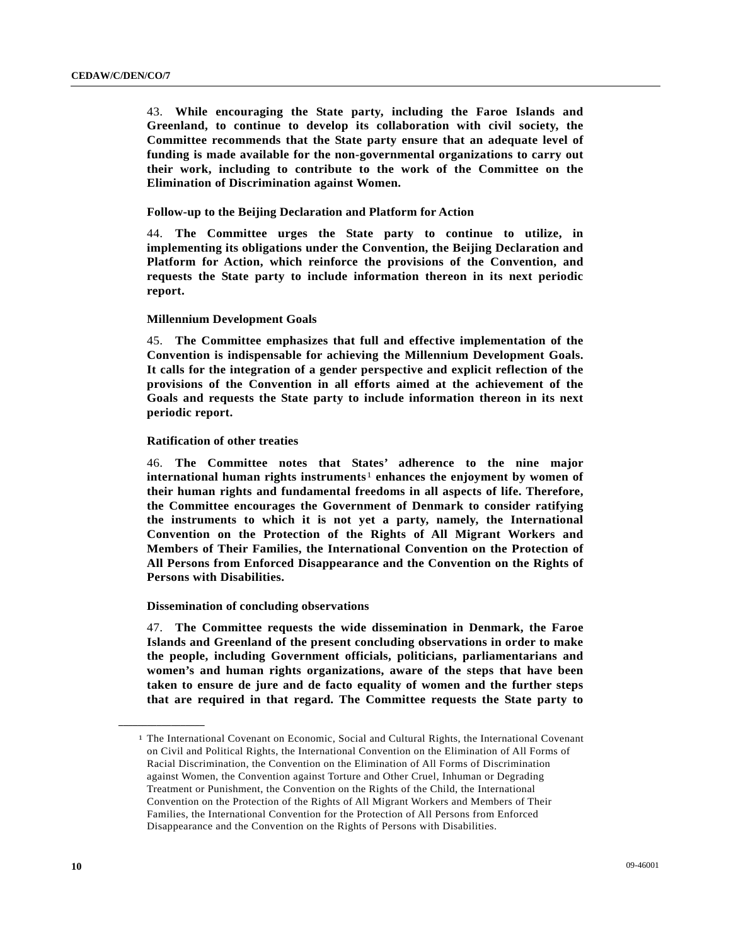43. **While encouraging the State party, including the Faroe Islands and Greenland, to continue to develop its collaboration with civil society, the Committee recommends that the State party ensure that an adequate level of funding is made available for the non-governmental organizations to carry out their work, including to contribute to the work of the Committee on the Elimination of Discrimination against Women.** 

## **Follow-up to the Beijing Declaration and Platform for Action**

44. **The Committee urges the State party to continue to utilize, in implementing its obligations under the Convention, the Beijing Declaration and Platform for Action, which reinforce the provisions of the Convention, and requests the State party to include information thereon in its next periodic report.**

## **Millennium Development Goals**

45. **The Committee emphasizes that full and effective implementation of the Convention is indispensable for achieving the Millennium Development Goals. It calls for the integration of a gender perspective and explicit reflection of the provisions of the Convention in all efforts aimed at the achievement of the Goals and requests the State party to include information thereon in its next periodic report.** 

## **Ratification of other treaties**

46. **The Committee notes that States' adherence to the nine major international human rights instruments**[1](#page-9-0) **enhances the enjoyment by women of their human rights and fundamental freedoms in all aspects of life. Therefore, the Committee encourages the Government of Denmark to consider ratifying the instruments to which it is not yet a party, namely, the International Convention on the Protection of the Rights of All Migrant Workers and Members of Their Families, the International Convention on the Protection of All Persons from Enforced Disappearance and the Convention on the Rights of Persons with Disabilities.** 

#### **Dissemination of concluding observations**

47. **The Committee requests the wide dissemination in Denmark, the Faroe Islands and Greenland of the present concluding observations in order to make the people, including Government officials, politicians, parliamentarians and women's and human rights organizations, aware of the steps that have been taken to ensure de jure and de facto equality of women and the further steps that are required in that regard. The Committee requests the State party to** 

<span id="page-9-0"></span>**\_\_\_\_\_\_\_\_\_\_\_\_\_\_\_\_\_\_** 

<sup>1</sup> The International Covenant on Economic, Social and Cultural Rights, the International Covenant on Civil and Political Rights, the International Convention on the Elimination of All Forms of Racial Discrimination, the Convention on the Elimination of All Forms of Discrimination against Women, the Convention against Torture and Other Cruel, Inhuman or Degrading Treatment or Punishment, the Convention on the Rights of the Child, the International Convention on the Protection of the Rights of All Migrant Workers and Members of Their Families, the International Convention for the Protection of All Persons from Enforced Disappearance and the Convention on the Rights of Persons with Disabilities.